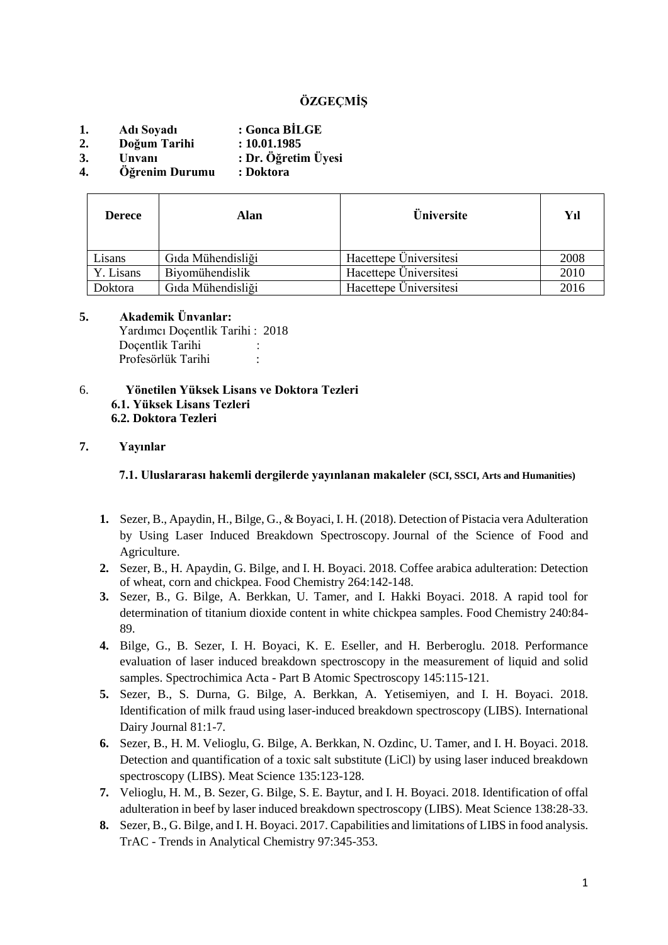# **ÖZGEÇMİŞ**

- **1. Adı Soyadı : Gonca BİLGE**
- **2. Doğum Tarihi : 10.01.1985**
- **3. Unvanı : Dr. Öğretim Üyesi**
- **4. Öğrenim Durumu : Doktora**

| <b>Derece</b> | Alan              | <b>Üniversite</b>      | Yıl  |  |
|---------------|-------------------|------------------------|------|--|
| Lisans        | Gıda Mühendisliği | Hacettepe Üniversitesi | 2008 |  |
| Y. Lisans     | Biyomühendislik   | Hacettepe Üniversitesi | 2010 |  |
| Doktora       | Gıda Mühendisliği | Hacettepe Üniversitesi | 2016 |  |

### **5. Akademik Ünvanlar:**

Yardımcı Doçentlik Tarihi : 2018 Docentlik Tarihi Profesörlük Tarihi :

6. **Yönetilen Yüksek Lisans ve Doktora Tezleri 6.1. Yüksek Lisans Tezleri 6.2. Doktora Tezleri**

#### **7. Yayınlar**

**7.1. Uluslararası hakemli dergilerde yayınlanan makaleler (SCI, SSCI, Arts and Humanities)**

- **1.** Sezer, B., Apaydin, H., Bilge, G., & Boyaci, I. H. (2018). Detection of Pistacia vera Adulteration by Using Laser Induced Breakdown Spectroscopy. Journal of the Science of Food and Agriculture.
- **2.** Sezer, B., H. Apaydin, G. Bilge, and I. H. Boyaci. 2018. Coffee arabica adulteration: Detection of wheat, corn and chickpea. Food Chemistry 264:142-148.
- **3.** Sezer, B., G. Bilge, A. Berkkan, U. Tamer, and I. Hakki Boyaci. 2018. A rapid tool for determination of titanium dioxide content in white chickpea samples. Food Chemistry 240:84- 89.
- **4.** Bilge, G., B. Sezer, I. H. Boyaci, K. E. Eseller, and H. Berberoglu. 2018. Performance evaluation of laser induced breakdown spectroscopy in the measurement of liquid and solid samples. Spectrochimica Acta - Part B Atomic Spectroscopy 145:115-121.
- **5.** Sezer, B., S. Durna, G. Bilge, A. Berkkan, A. Yetisemiyen, and I. H. Boyaci. 2018. Identification of milk fraud using laser-induced breakdown spectroscopy (LIBS). International Dairy Journal 81:1-7.
- **6.** Sezer, B., H. M. Velioglu, G. Bilge, A. Berkkan, N. Ozdinc, U. Tamer, and I. H. Boyaci. 2018. Detection and quantification of a toxic salt substitute (LiCl) by using laser induced breakdown spectroscopy (LIBS). Meat Science 135:123-128.
- **7.** Velioglu, H. M., B. Sezer, G. Bilge, S. E. Baytur, and I. H. Boyaci. 2018. Identification of offal adulteration in beef by laser induced breakdown spectroscopy (LIBS). Meat Science 138:28-33.
- **8.** Sezer, B., G. Bilge, and I. H. Boyaci. 2017. Capabilities and limitations of LIBS in food analysis. TrAC - Trends in Analytical Chemistry 97:345-353.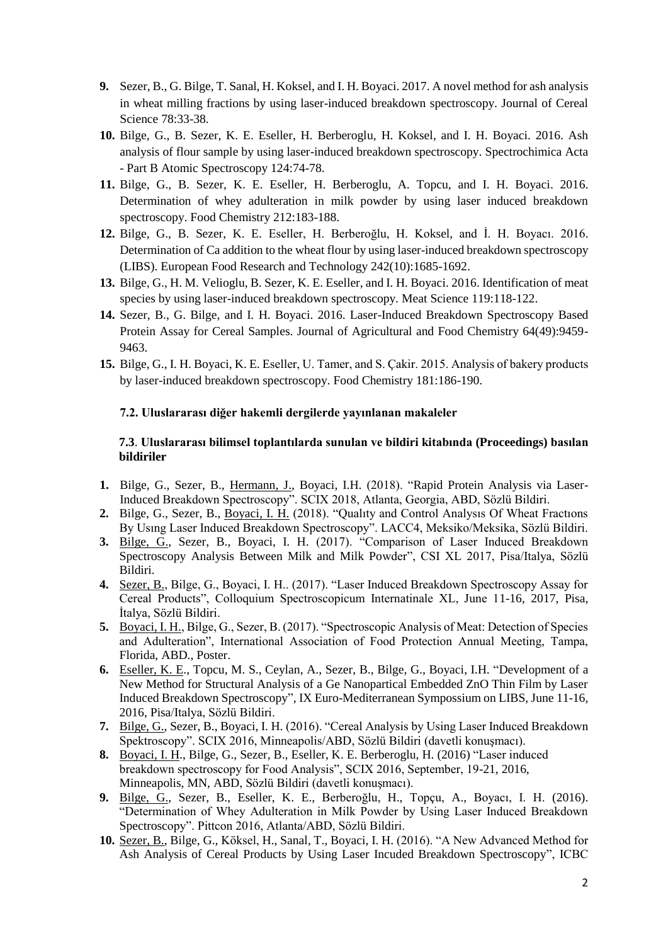- **9.** Sezer, B., G. Bilge, T. Sanal, H. Koksel, and I. H. Boyaci. 2017. A novel method for ash analysis in wheat milling fractions by using laser-induced breakdown spectroscopy. Journal of Cereal Science 78:33-38.
- **10.** Bilge, G., B. Sezer, K. E. Eseller, H. Berberoglu, H. Koksel, and I. H. Boyaci. 2016. Ash analysis of flour sample by using laser-induced breakdown spectroscopy. Spectrochimica Acta - Part B Atomic Spectroscopy 124:74-78.
- **11.** Bilge, G., B. Sezer, K. E. Eseller, H. Berberoglu, A. Topcu, and I. H. Boyaci. 2016. Determination of whey adulteration in milk powder by using laser induced breakdown spectroscopy. Food Chemistry 212:183-188.
- **12.** Bilge, G., B. Sezer, K. E. Eseller, H. Berberoğlu, H. Koksel, and İ. H. Boyacı. 2016. Determination of Ca addition to the wheat flour by using laser-induced breakdown spectroscopy (LIBS). European Food Research and Technology 242(10):1685-1692.
- **13.** Bilge, G., H. M. Velioglu, B. Sezer, K. E. Eseller, and I. H. Boyaci. 2016. Identification of meat species by using laser-induced breakdown spectroscopy. Meat Science 119:118-122.
- **14.** Sezer, B., G. Bilge, and I. H. Boyaci. 2016. Laser-Induced Breakdown Spectroscopy Based Protein Assay for Cereal Samples. Journal of Agricultural and Food Chemistry 64(49):9459- 9463.
- **15.** Bilge, G., I. H. Boyaci, K. E. Eseller, U. Tamer, and S. Çakir. 2015. Analysis of bakery products by laser-induced breakdown spectroscopy. Food Chemistry 181:186-190.

#### **7.2. Uluslararası diğer hakemli dergilerde yayınlanan makaleler**

#### **7.3**. **Uluslararası bilimsel toplantılarda sunulan ve bildiri kitabında (Proceedings) basılan bildiriler**

- **1.** Bilge, G., Sezer, B., Hermann, J., Boyaci, I.H. (2018). "Rapid Protein Analysis via Laser-Induced Breakdown Spectroscopy". SCIX 2018, Atlanta, Georgia, ABD, Sözlü Bildiri.
- **2.** Bilge, G., Sezer, B., Boyaci, I. H. (2018). "Qualıty and Control Analysıs Of Wheat Fractıons By Usıng Laser Induced Breakdown Spectroscopy". LACC4, Meksiko/Meksika, Sözlü Bildiri.
- **3.** Bilge, G., Sezer, B., Boyaci, I. H. (2017). "Comparison of Laser Induced Breakdown Spectroscopy Analysis Between Milk and Milk Powder", CSI XL 2017, Pisa/Italya, Sözlü Bildiri.
- **4.** Sezer, B., Bilge, G., Boyaci, I. H.. (2017). "Laser Induced Breakdown Spectroscopy Assay for Cereal Products", Colloquium Spectroscopicum Internatinale XL, June 11-16, 2017, Pisa, İtalya, Sözlü Bildiri.
- **5.** Boyaci, I. H., Bilge, G., Sezer, B. (2017). "Spectroscopic Analysis of Meat: Detection of Species and Adulteration", International Association of Food Protection Annual Meeting, Tampa, Florida, ABD., Poster.
- **6.** Eseller, K. E., Topcu, M. S., Ceylan, A., Sezer, B., Bilge, G., Boyaci, I.H. "Development of a New Method for Structural Analysis of a Ge Nanopartical Embedded ZnO Thin Film by Laser Induced Breakdown Spectroscopy", IX Euro-Mediterranean Sympossium on LIBS, June 11-16, 2016, Pisa/Italya, Sözlü Bildiri.
- **7.** Bilge, G., Sezer, B., Boyaci, I. H. (2016). "Cereal Analysis by Using Laser Induced Breakdown Spektroscopy". SCIX 2016, Minneapolis/ABD, Sözlü Bildiri (davetli konuşmacı).
- **8.** Boyaci, I. H., Bilge, G., Sezer, B., Eseller, K. E. Berberoglu, H. (2016) "Laser induced breakdown spectroscopy for Food Analysis", SCIX 2016, September, 19-21, 2016, Minneapolis, MN, ABD, Sözlü Bildiri (davetli konuşmacı).
- **9.** Bilge, G., Sezer, B., Eseller, K. E., Berberoğlu, H., Topçu, A., Boyacı, I. H. (2016). "Determination of Whey Adulteration in Milk Powder by Using Laser Induced Breakdown Spectroscopy". Pittcon 2016, Atlanta/ABD, Sözlü Bildiri.
- **10.** Sezer, B., Bilge, G., Köksel, H., Sanal, T., Boyaci, I. H. (2016). "A New Advanced Method for Ash Analysis of Cereal Products by Using Laser Incuded Breakdown Spectroscopy", ICBC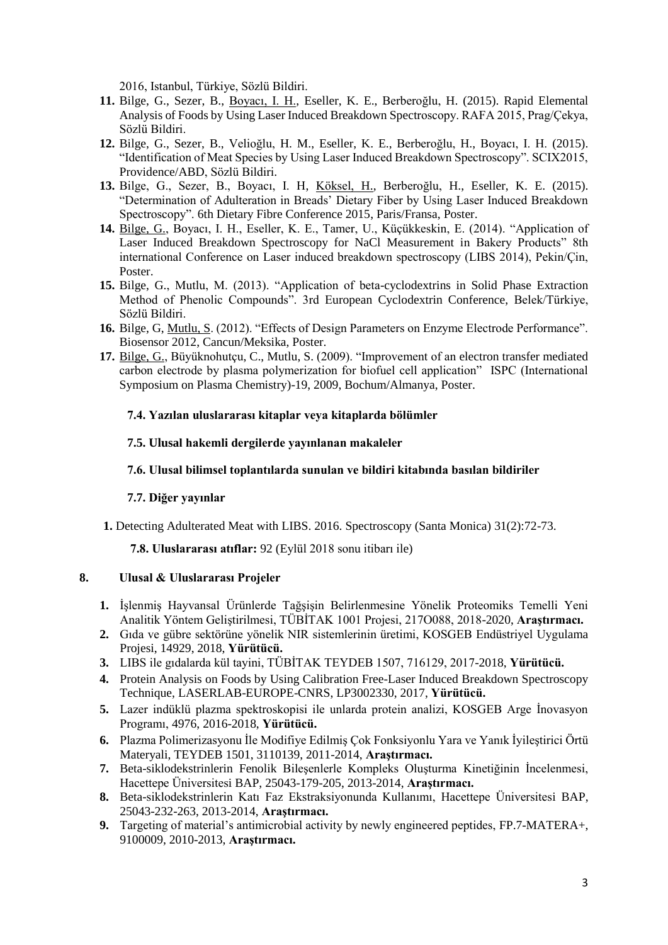2016, Istanbul, Türkiye, Sözlü Bildiri.

- **11.** Bilge, G., Sezer, B., Boyacı, I. H., Eseller, K. E., Berberoğlu, H. (2015). Rapid Elemental Analysis of Foods by Using Laser Induced Breakdown Spectroscopy. RAFA 2015, Prag/Çekya, Sözlü Bildiri.
- **12.** Bilge, G., Sezer, B., Velioğlu, H. M., Eseller, K. E., Berberoğlu, H., Boyacı, I. H. (2015). "Identification of Meat Species by Using Laser Induced Breakdown Spectroscopy". SCIX2015, Providence/ABD, Sözlü Bildiri.
- **13.** Bilge, G., Sezer, B., Boyacı, I. H, Köksel, H., Berberoğlu, H., Eseller, K. E. (2015). "Determination of Adulteration in Breads' Dietary Fiber by Using Laser Induced Breakdown Spectroscopy". [6th Dietary Fibre Conference 2015,](https://www.icc.or.at/node/1860) Paris/Fransa, Poster.
- **14.** Bilge, G., Boyacı, I. H., Eseller, K. E., Tamer, U., Küçükkeskin, E. (2014). "Application of Laser Induced Breakdown Spectroscopy for NaCl Measurement in Bakery Products" 8th international Conference on Laser induced breakdown spectroscopy (LIBS 2014), Pekin/Çin, Poster.
- **15.** Bilge, G., Mutlu, M. (2013). "Application of beta-cyclodextrins in Solid Phase Extraction Method of Phenolic Compounds". 3rd European Cyclodextrin Conference, Belek/Türkiye, Sözlü Bildiri.
- **16.** Bilge, G, Mutlu, S. (2012). "Effects of Design Parameters on Enzyme Electrode Performance". Biosensor 2012, Cancun/Meksika, Poster.
- **17.** Bilge, G., Büyüknohutçu, C., Mutlu, S. (2009). "Improvement of an electron transfer mediated carbon electrode by plasma polymerization for biofuel cell application" ISPC (International Symposium on Plasma Chemistry)-19, 2009, Bochum/Almanya, Poster.

#### **7.4. Yazılan uluslararası kitaplar veya kitaplarda bölümler**

#### **7.5. Ulusal hakemli dergilerde yayınlanan makaleler**

### **7.6. Ulusal bilimsel toplantılarda sunulan ve bildiri kitabında basılan bildiriler**

#### **7.7. Diğer yayınlar**

**1.** Detecting Adulterated Meat with LIBS. 2016. Spectroscopy (Santa Monica) 31(2):72-73.

**7.8. Uluslararası atıflar:** 92 (Eylül 2018 sonu itibarı ile)

### **8. Ulusal & Uluslararası Projeler**

- **1.** İşlenmiş Hayvansal Ürünlerde Tağşişin Belirlenmesine Yönelik Proteomiks Temelli Yeni Analitik Yöntem Geliştirilmesi, TÜBİTAK 1001 Projesi, 217O088, 2018-2020, **Araştırmacı.**
- **2.** Gıda ve gübre sektörüne yönelik NIR sistemlerinin üretimi, KOSGEB Endüstriyel Uygulama Projesi, 14929, 2018, **Yürütücü.**
- **3.** LIBS ile gıdalarda kül tayini, TÜBİTAK TEYDEB 1507, 716129, 2017-2018, **Yürütücü.**
- **4.** Protein Analysis on Foods by Using Calibration Free-Laser Induced Breakdown Spectroscopy Technique, LASERLAB-EUROPE-CNRS, LP3002330, 2017, **Yürütücü.**
- **5.** Lazer indüklü plazma spektroskopisi ile unlarda protein analizi, KOSGEB Arge İnovasyon Programı, 4976, 2016-2018, **Yürütücü.**
- **6.** Plazma Polimerizasyonu İle Modifiye Edilmiş Çok Fonksiyonlu Yara ve Yanık İyileştirici Örtü Materyali, TEYDEB 1501, 3110139, 2011-2014, **Araştırmacı.**
- **7.** Beta-siklodekstrinlerin Fenolik Bileşenlerle Kompleks Oluşturma Kinetiğinin İncelenmesi, Hacettepe Üniversitesi BAP, 25043-179-205, 2013-2014, **Araştırmacı.**
- **8.** Beta-siklodekstrinlerin Katı Faz Ekstraksiyonunda Kullanımı, Hacettepe Üniversitesi BAP, 25043-232-263, 2013-2014, **Araştırmacı.**
- **9.** Targeting of material's antimicrobial activity by newly engineered peptides, FP.7-MATERA+, 9100009, 2010-2013, **Araştırmacı.**